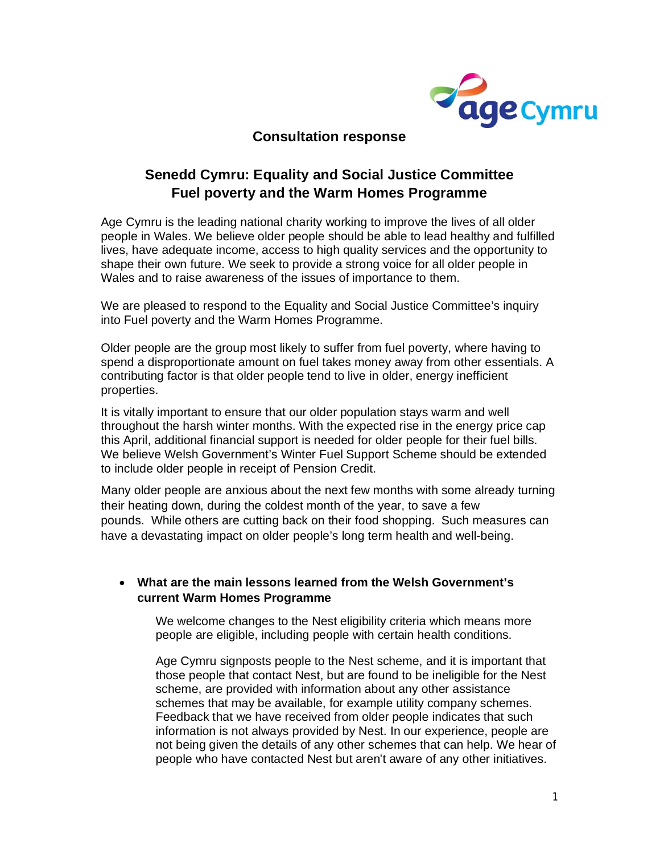

## **Consultation response**

## **Senedd Cymru: Equality and Social Justice Committee Fuel poverty and the Warm Homes Programme**

Age Cymru is the leading national charity working to improve the lives of all older people in Wales. We believe older people should be able to lead healthy and fulfilled lives, have adequate income, access to high quality services and the opportunity to shape their own future. We seek to provide a strong voice for all older people in Wales and to raise awareness of the issues of importance to them.

We are pleased to respond to the Equality and Social Justice Committee's inquiry into Fuel poverty and the Warm Homes Programme.

Older people are the group most likely to suffer from fuel poverty, where having to spend a disproportionate amount on fuel takes money away from other essentials. A contributing factor is that older people tend to live in older, energy inefficient properties.

It is vitally important to ensure that our older population stays warm and well throughout the harsh winter months. With the expected rise in the energy price cap this April, additional financial support is needed for older people for their fuel bills. We believe Welsh Government's Winter Fuel Support Scheme should be extended to include older people in receipt of Pension Credit.

Many older people are anxious about the next few months with some already turning their heating down, during the coldest month of the year, to save a few pounds. While others are cutting back on their food shopping. Such measures can have a devastating impact on older people's long term health and well-being.

## **What are the main lessons learned from the Welsh Government's current Warm Homes Programme**

We welcome changes to the Nest eligibility criteria which means more people are eligible, including people with certain health conditions.

Age Cymru signposts people to the Nest scheme, and it is important that those people that contact Nest, but are found to be ineligible for the Nest scheme, are provided with information about any other assistance schemes that may be available, for example utility company schemes. Feedback that we have received from older people indicates that such information is not always provided by Nest. In our experience, people are not being given the details of any other schemes that can help. We hear of people who have contacted Nest but aren't aware of any other initiatives.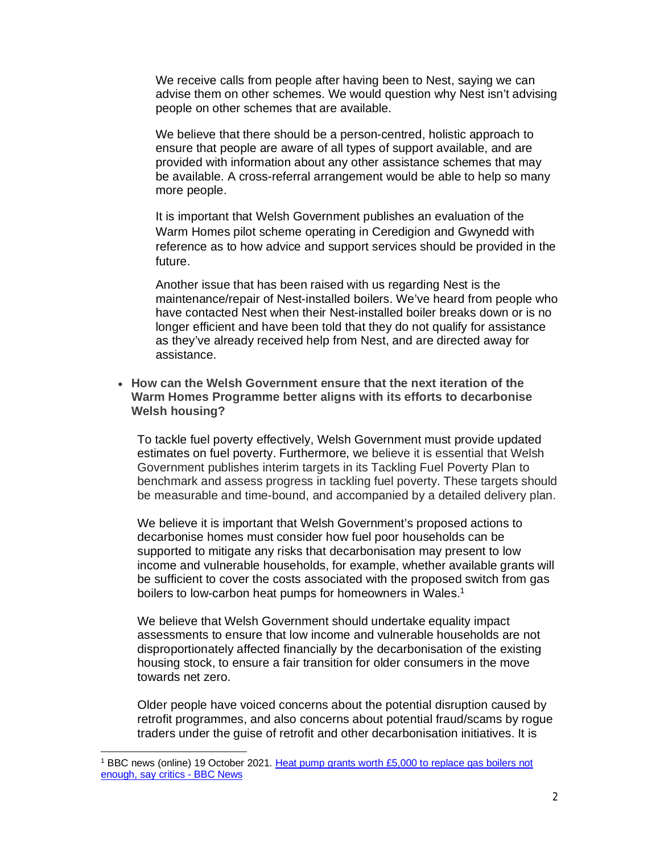We receive calls from people after having been to Nest, saying we can advise them on other schemes. We would question why Nest isn't advising people on other schemes that are available.

We believe that there should be a person-centred, holistic approach to ensure that people are aware of all types of support available, and are provided with information about any other assistance schemes that may be available. A cross-referral arrangement would be able to help so many more people.

It is important that Welsh Government publishes an evaluation of the Warm Homes pilot scheme operating in Ceredigion and Gwynedd with reference as to how advice and support services should be provided in the future.

Another issue that has been raised with us regarding Nest is the maintenance/repair of Nest-installed boilers. We've heard from people who have contacted Nest when their Nest-installed boiler breaks down or is no longer efficient and have been told that they do not qualify for assistance as they've already received help from Nest, and are directed away for assistance.

 **How can the Welsh Government ensure that the next iteration of the Warm Homes Programme better aligns with its efforts to decarbonise Welsh housing?** 

To tackle fuel poverty effectively, Welsh Government must provide updated estimates on fuel poverty. Furthermore, we believe it is essential that Welsh Government publishes interim targets in its Tackling Fuel Poverty Plan to benchmark and assess progress in tackling fuel poverty. These targets should be measurable and time-bound, and accompanied by a detailed delivery plan.

We believe it is important that Welsh Government's proposed actions to decarbonise homes must consider how fuel poor households can be supported to mitigate any risks that decarbonisation may present to low income and vulnerable households, for example, whether available grants will be sufficient to cover the costs associated with the proposed switch from gas boilers to low-carbon heat pumps for homeowners in Wales.<sup>1</sup>

We believe that Welsh Government should undertake equality impact assessments to ensure that low income and vulnerable households are not disproportionately affected financially by the decarbonisation of the existing housing stock, to ensure a fair transition for older consumers in the move towards net zero.

Older people have voiced concerns about the potential disruption caused by retrofit programmes, and also concerns about potential fraud/scams by rogue traders under the guise of retrofit and other decarbonisation initiatives. It is

<sup>1</sup> BBC news (online) 19 October 2021. Heat pump grants worth £5,000 to replace gas boilers not enough, say critics - BBC News